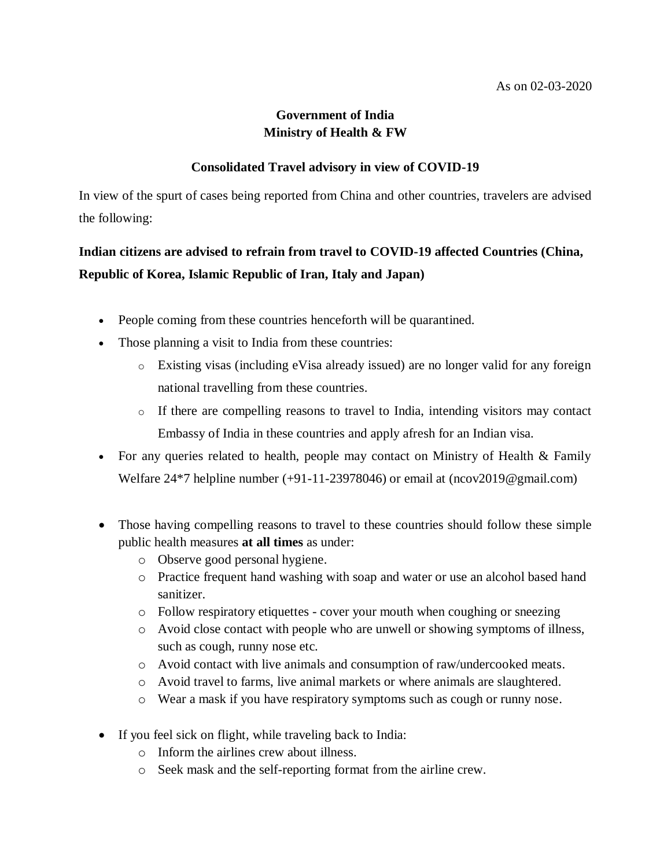## **Government of India Ministry of Health & FW**

## **Consolidated Travel advisory in view of COVID-19**

In view of the spurt of cases being reported from China and other countries, travelers are advised the following:

## **Indian citizens are advised to refrain from travel to COVID-19 affected Countries (China, Republic of Korea, Islamic Republic of Iran, Italy and Japan)**

- People coming from these countries henceforth will be quarantined.
- Those planning a visit to India from these countries:
	- o Existing visas (including eVisa already issued) are no longer valid for any foreign national travelling from these countries.
	- o If there are compelling reasons to travel to India, intending visitors may contact Embassy of India in these countries and apply afresh for an Indian visa.
- For any queries related to health, people may contact on Ministry of Health & Family Welfare 24\*7 helpline number (+91-11-23978046) or email at (ncov2019@gmail.com)
- Those having compelling reasons to travel to these countries should follow these simple public health measures **at all times** as under:
	- o Observe good personal hygiene.
	- o Practice frequent hand washing with soap and water or use an alcohol based hand sanitizer.
	- o Follow respiratory etiquettes cover your mouth when coughing or sneezing
	- o Avoid close contact with people who are unwell or showing symptoms of illness, such as cough, runny nose etc.
	- o Avoid contact with live animals and consumption of raw/undercooked meats.
	- o Avoid travel to farms, live animal markets or where animals are slaughtered.
	- o Wear a mask if you have respiratory symptoms such as cough or runny nose.
- If you feel sick on flight, while traveling back to India:
	- o Inform the airlines crew about illness.
	- o Seek mask and the self-reporting format from the airline crew.